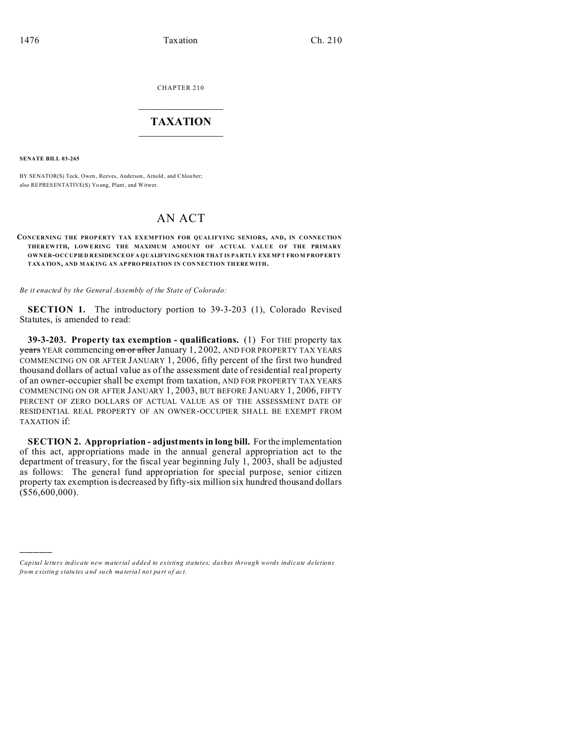CHAPTER 210  $\overline{\phantom{a}}$  , where  $\overline{\phantom{a}}$ 

## **TAXATION**  $\_$

**SENATE BILL 03-265**

)))))

BY SENATOR(S) Teck, Owen, Reeves, Anderson, Arnold, and Chlouber; also REPRESENTATIVE(S) Yo ung, Plant, and Witwer.

## AN ACT

## **CONCERNING THE PROPERTY TAX EXEMPTION FOR QUALIFYING SENIORS, AND, IN CONNECTION THER EWITH, LOWE RING THE MAXIMUM AMOUNT OF ACTUAL VALUE OF THE PRIMARY OWNER-OCCUPIED RESIDENCEOF A QUALIFYING SEN IOR THAT IS PA RTLY EXEMPT FRO M P ROP ERTY TAXATION, AND MAK ING AN AP PRO PRIATION IN CON NECTION TH EREWITH.**

*Be it enacted by the General Assembly of the State of Colorado:*

**SECTION 1.** The introductory portion to 39-3-203 (1), Colorado Revised Statutes, is amended to read:

**39-3-203. Property tax exemption - qualifications.** (1) For THE property tax **years** YEAR commencing on or after January 1, 2002, AND FOR PROPERTY TAX YEARS COMMENCING ON OR AFTER JANUARY 1, 2006, fifty percent of the first two hundred thousand dollars of actual value as of the assessment date of residential real property of an owner-occupier shall be exempt from taxation, AND FOR PROPERTY TAX YEARS COMMENCING ON OR AFTER JANUARY 1, 2003, BUT BEFORE JANUARY 1, 2006, FIFTY PERCENT OF ZERO DOLLARS OF ACTUAL VALUE AS OF THE ASSESSMENT DATE OF RESIDENTIAL REAL PROPERTY OF AN OWNER-OCCUPIER SHALL BE EXEMPT FROM TAXATION if:

**SECTION 2. Appropriation - adjustments in long bill.** For the implementation of this act, appropriations made in the annual general appropriation act to the department of treasury, for the fiscal year beginning July 1, 2003, shall be adjusted as follows: The general fund appropriation for special purpose, senior citizen property tax exemption is decreased by fifty-six million six hundred thousand dollars  $($ \$56,600,000).

*Capital letters indicate new material added to existing statutes; dashes through words indicate deletions from e xistin g statu tes a nd such ma teria l no t pa rt of ac t.*